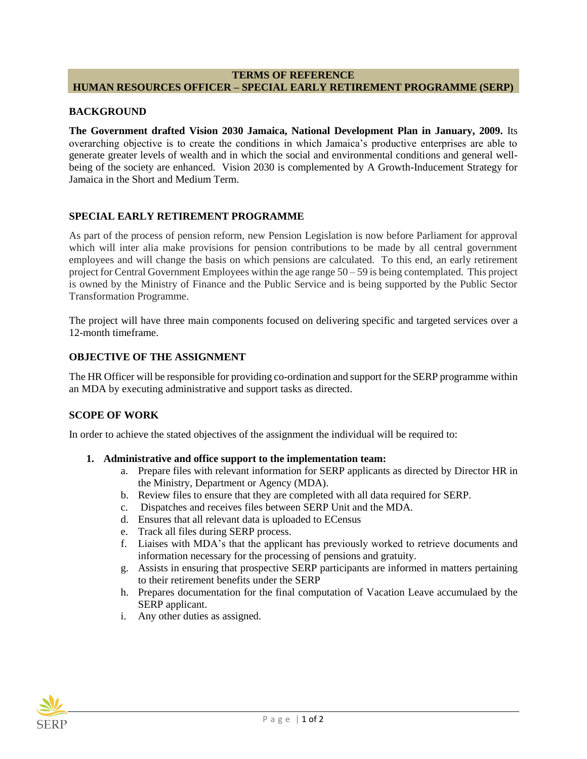# **TERMS OF REFERENCE HUMAN RESOURCES OFFICER – SPECIAL EARLY RETIREMENT PROGRAMME (SERP)**

## **BACKGROUND**

**The Government drafted Vision 2030 Jamaica, National Development Plan in January, 2009.** Its overarching objective is to create the conditions in which Jamaica's productive enterprises are able to generate greater levels of wealth and in which the social and environmental conditions and general wellbeing of the society are enhanced. Vision 2030 is complemented by A Growth-Inducement Strategy for Jamaica in the Short and Medium Term.

## **SPECIAL EARLY RETIREMENT PROGRAMME**

As part of the process of pension reform, new Pension Legislation is now before Parliament for approval which will inter alia make provisions for pension contributions to be made by all central government employees and will change the basis on which pensions are calculated. To this end, an early retirement project for Central Government Employees within the age range 50 – 59 is being contemplated. This project is owned by the Ministry of Finance and the Public Service and is being supported by the Public Sector Transformation Programme.

The project will have three main components focused on delivering specific and targeted services over a 12-month timeframe.

## **OBJECTIVE OF THE ASSIGNMENT**

The HR Officer will be responsible for providing co-ordination and support for the SERP programme within an MDA by executing administrative and support tasks as directed.

#### **SCOPE OF WORK**

In order to achieve the stated objectives of the assignment the individual will be required to:

#### **1. Administrative and office support to the implementation team:**

- a. Prepare files with relevant information for SERP applicants as directed by Director HR in the Ministry, Department or Agency (MDA).
- b. Review files to ensure that they are completed with all data required for SERP.
- c. Dispatches and receives files between SERP Unit and the MDA.
- d. Ensures that all relevant data is uploaded to ECensus
- e. Track all files during SERP process.
- f. Liaises with MDA's that the applicant has previously worked to retrieve documents and information necessary for the processing of pensions and gratuity.
- g. Assists in ensuring that prospective SERP participants are informed in matters pertaining to their retirement benefits under the SERP
- h. Prepares documentation for the final computation of Vacation Leave accumulaed by the SERP applicant.
- i. Any other duties as assigned.